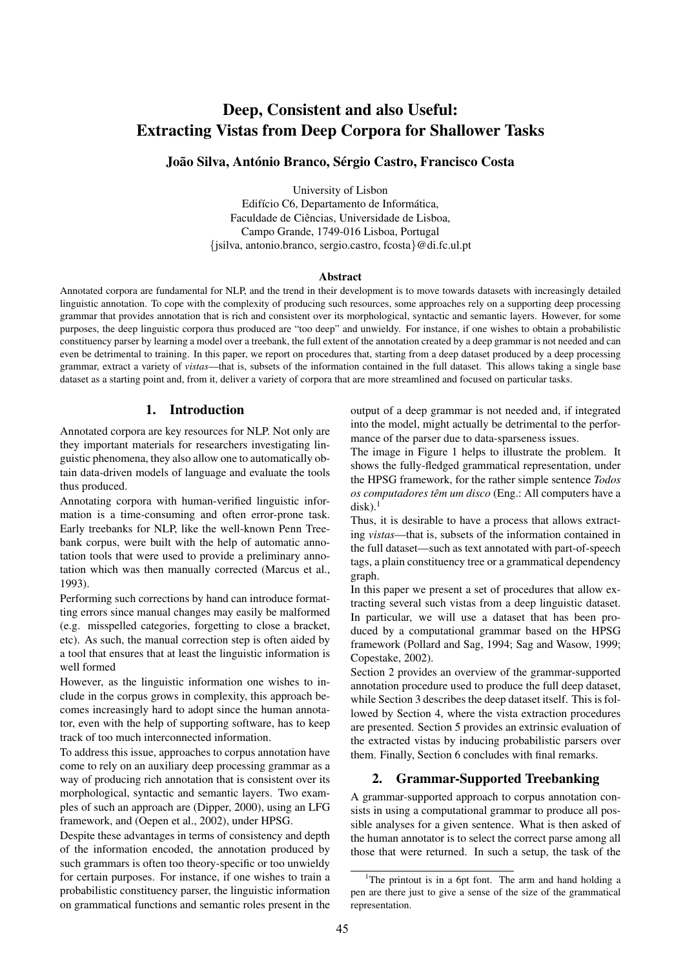# Deep, Consistent and also Useful: Extracting Vistas from Deep Corpora for Shallower Tasks

# João Silva, António Branco, Sérgio Castro, Francisco Costa

University of Lisbon Edifício C6, Departamento de Informática, Faculdade de Ciências, Universidade de Lisboa, Campo Grande, 1749-016 Lisboa, Portugal {jsilva, antonio.branco, sergio.castro, fcosta}@di.fc.ul.pt

#### Abstract

Annotated corpora are fundamental for NLP, and the trend in their development is to move towards datasets with increasingly detailed linguistic annotation. To cope with the complexity of producing such resources, some approaches rely on a supporting deep processing grammar that provides annotation that is rich and consistent over its morphological, syntactic and semantic layers. However, for some purposes, the deep linguistic corpora thus produced are "too deep" and unwieldy. For instance, if one wishes to obtain a probabilistic constituency parser by learning a model over a treebank, the full extent of the annotation created by a deep grammar is not needed and can even be detrimental to training. In this paper, we report on procedures that, starting from a deep dataset produced by a deep processing grammar, extract a variety of *vistas*—that is, subsets of the information contained in the full dataset. This allows taking a single base dataset as a starting point and, from it, deliver a variety of corpora that are more streamlined and focused on particular tasks.

#### 1. Introduction

Annotated corpora are key resources for NLP. Not only are they important materials for researchers investigating linguistic phenomena, they also allow one to automatically obtain data-driven models of language and evaluate the tools thus produced.

Annotating corpora with human-verified linguistic information is a time-consuming and often error-prone task. Early treebanks for NLP, like the well-known Penn Treebank corpus, were built with the help of automatic annotation tools that were used to provide a preliminary annotation which was then manually corrected (Marcus et al., 1993).

Performing such corrections by hand can introduce formatting errors since manual changes may easily be malformed (e.g. misspelled categories, forgetting to close a bracket, etc). As such, the manual correction step is often aided by a tool that ensures that at least the linguistic information is well formed

However, as the linguistic information one wishes to include in the corpus grows in complexity, this approach becomes increasingly hard to adopt since the human annotator, even with the help of supporting software, has to keep track of too much interconnected information.

To address this issue, approaches to corpus annotation have come to rely on an auxiliary deep processing grammar as a way of producing rich annotation that is consistent over its morphological, syntactic and semantic layers. Two examples of such an approach are (Dipper, 2000), using an LFG framework, and (Oepen et al., 2002), under HPSG.

Despite these advantages in terms of consistency and depth of the information encoded, the annotation produced by such grammars is often too theory-specific or too unwieldy for certain purposes. For instance, if one wishes to train a probabilistic constituency parser, the linguistic information on grammatical functions and semantic roles present in the output of a deep grammar is not needed and, if integrated into the model, might actually be detrimental to the performance of the parser due to data-sparseness issues.

The image in Figure 1 helps to illustrate the problem. It shows the fully-fledged grammatical representation, under the HPSG framework, for the rather simple sentence *Todos os computadores têm um disco* (Eng.: All computers have a  $disk$ ).<sup>1</sup>

Thus, it is desirable to have a process that allows extracting *vistas*—that is, subsets of the information contained in the full dataset—such as text annotated with part-of-speech tags, a plain constituency tree or a grammatical dependency graph.

In this paper we present a set of procedures that allow extracting several such vistas from a deep linguistic dataset. In particular, we will use a dataset that has been produced by a computational grammar based on the HPSG framework (Pollard and Sag, 1994; Sag and Wasow, 1999; Copestake, 2002).

Section 2 provides an overview of the grammar-supported annotation procedure used to produce the full deep dataset, while Section 3 describes the deep dataset itself. This is followed by Section 4, where the vista extraction procedures are presented. Section 5 provides an extrinsic evaluation of the extracted vistas by inducing probabilistic parsers over them. Finally, Section 6 concludes with final remarks.

# 2. Grammar-Supported Treebanking

A grammar-supported approach to corpus annotation consists in using a computational grammar to produce all possible analyses for a given sentence. What is then asked of the human annotator is to select the correct parse among all those that were returned. In such a setup, the task of the

<sup>&</sup>lt;sup>1</sup>The printout is in a 6pt font. The arm and hand holding a pen are there just to give a sense of the size of the grammatical representation.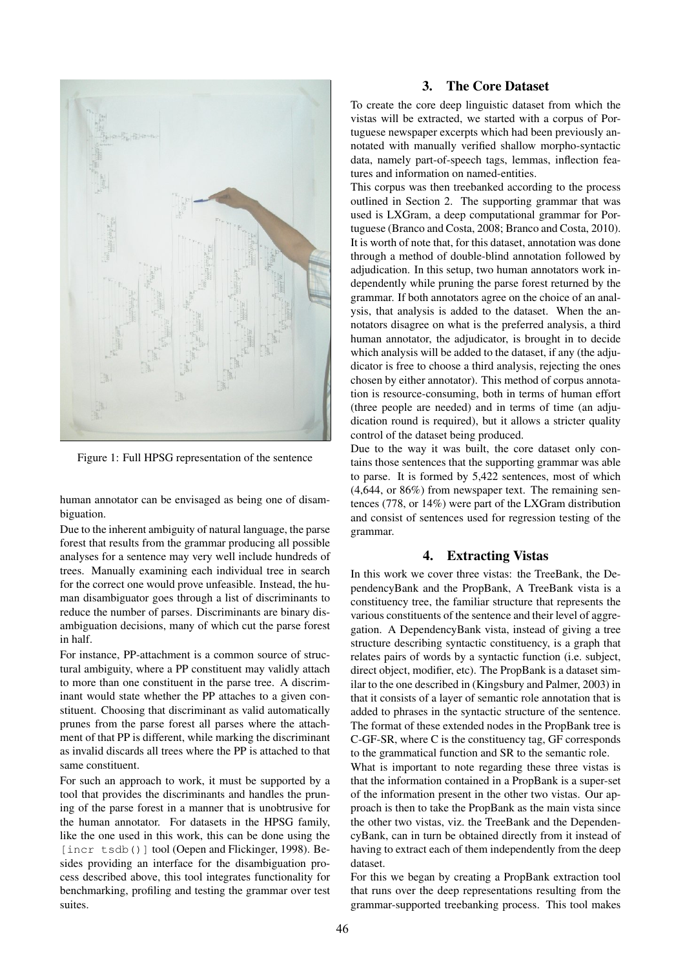

Figure 1: Full HPSG representation of the sentence

human annotator can be envisaged as being one of disambiguation.

Due to the inherent ambiguity of natural language, the parse forest that results from the grammar producing all possible analyses for a sentence may very well include hundreds of trees. Manually examining each individual tree in search for the correct one would prove unfeasible. Instead, the human disambiguator goes through a list of discriminants to reduce the number of parses. Discriminants are binary disambiguation decisions, many of which cut the parse forest in half.

For instance, PP-attachment is a common source of structural ambiguity, where a PP constituent may validly attach to more than one constituent in the parse tree. A discriminant would state whether the PP attaches to a given constituent. Choosing that discriminant as valid automatically prunes from the parse forest all parses where the attachment of that PP is different, while marking the discriminant as invalid discards all trees where the PP is attached to that same constituent.

For such an approach to work, it must be supported by a tool that provides the discriminants and handles the pruning of the parse forest in a manner that is unobtrusive for the human annotator. For datasets in the HPSG family, like the one used in this work, this can be done using the [incr tsdb()] tool (Oepen and Flickinger, 1998). Besides providing an interface for the disambiguation process described above, this tool integrates functionality for benchmarking, profiling and testing the grammar over test suites.

#### 3. The Core Dataset

To create the core deep linguistic dataset from which the vistas will be extracted, we started with a corpus of Portuguese newspaper excerpts which had been previously annotated with manually verified shallow morpho-syntactic data, namely part-of-speech tags, lemmas, inflection features and information on named-entities.

This corpus was then treebanked according to the process outlined in Section 2. The supporting grammar that was used is LXGram, a deep computational grammar for Portuguese (Branco and Costa, 2008; Branco and Costa, 2010). It is worth of note that, for this dataset, annotation was done through a method of double-blind annotation followed by adjudication. In this setup, two human annotators work independently while pruning the parse forest returned by the grammar. If both annotators agree on the choice of an analysis, that analysis is added to the dataset. When the annotators disagree on what is the preferred analysis, a third human annotator, the adjudicator, is brought in to decide which analysis will be added to the dataset, if any (the adjudicator is free to choose a third analysis, rejecting the ones chosen by either annotator). This method of corpus annotation is resource-consuming, both in terms of human effort (three people are needed) and in terms of time (an adjudication round is required), but it allows a stricter quality control of the dataset being produced.

Due to the way it was built, the core dataset only contains those sentences that the supporting grammar was able to parse. It is formed by 5,422 sentences, most of which (4,644, or 86%) from newspaper text. The remaining sentences (778, or 14%) were part of the LXGram distribution and consist of sentences used for regression testing of the grammar.

## 4. Extracting Vistas

In this work we cover three vistas: the TreeBank, the DependencyBank and the PropBank, A TreeBank vista is a constituency tree, the familiar structure that represents the various constituents of the sentence and their level of aggregation. A DependencyBank vista, instead of giving a tree structure describing syntactic constituency, is a graph that relates pairs of words by a syntactic function (i.e. subject, direct object, modifier, etc). The PropBank is a dataset similar to the one described in (Kingsbury and Palmer, 2003) in that it consists of a layer of semantic role annotation that is added to phrases in the syntactic structure of the sentence. The format of these extended nodes in the PropBank tree is C-GF-SR, where C is the constituency tag, GF corresponds to the grammatical function and SR to the semantic role.

What is important to note regarding these three vistas is that the information contained in a PropBank is a super-set of the information present in the other two vistas. Our approach is then to take the PropBank as the main vista since the other two vistas, viz. the TreeBank and the DependencyBank, can in turn be obtained directly from it instead of having to extract each of them independently from the deep dataset.

For this we began by creating a PropBank extraction tool that runs over the deep representations resulting from the grammar-supported treebanking process. This tool makes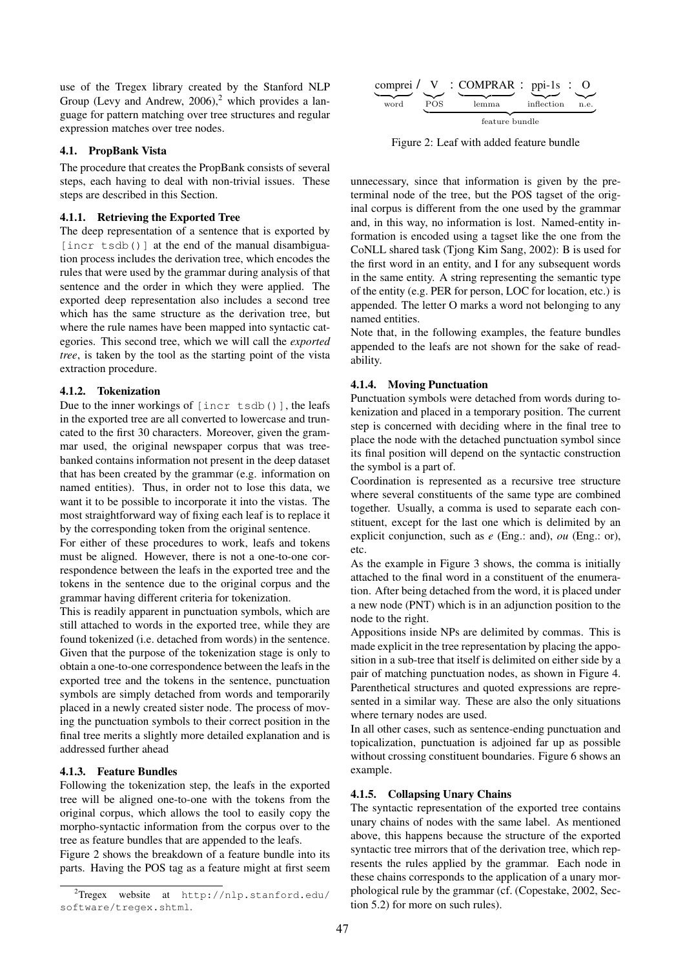use of the Tregex library created by the Stanford NLP Group (Levy and Andrew,  $2006$ ),<sup>2</sup> which provides a language for pattern matching over tree structures and regular expression matches over tree nodes.

#### 4.1. PropBank Vista

The procedure that creates the PropBank consists of several steps, each having to deal with non-trivial issues. These steps are described in this Section.

#### 4.1.1. Retrieving the Exported Tree

The deep representation of a sentence that is exported by [incr tsdb()] at the end of the manual disambiguation process includes the derivation tree, which encodes the rules that were used by the grammar during analysis of that sentence and the order in which they were applied. The exported deep representation also includes a second tree which has the same structure as the derivation tree, but where the rule names have been mapped into syntactic categories. This second tree, which we will call the *exported tree*, is taken by the tool as the starting point of the vista extraction procedure.

## 4.1.2. Tokenization

Due to the inner workings of [incr tsdb()], the leafs in the exported tree are all converted to lowercase and truncated to the first 30 characters. Moreover, given the grammar used, the original newspaper corpus that was treebanked contains information not present in the deep dataset that has been created by the grammar (e.g. information on named entities). Thus, in order not to lose this data, we want it to be possible to incorporate it into the vistas. The most straightforward way of fixing each leaf is to replace it by the corresponding token from the original sentence.

For either of these procedures to work, leafs and tokens must be aligned. However, there is not a one-to-one correspondence between the leafs in the exported tree and the tokens in the sentence due to the original corpus and the grammar having different criteria for tokenization.

This is readily apparent in punctuation symbols, which are still attached to words in the exported tree, while they are found tokenized (i.e. detached from words) in the sentence. Given that the purpose of the tokenization stage is only to obtain a one-to-one correspondence between the leafs in the exported tree and the tokens in the sentence, punctuation symbols are simply detached from words and temporarily placed in a newly created sister node. The process of moving the punctuation symbols to their correct position in the final tree merits a slightly more detailed explanation and is addressed further ahead

## 4.1.3. Feature Bundles

Following the tokenization step, the leafs in the exported tree will be aligned one-to-one with the tokens from the original corpus, which allows the tool to easily copy the morpho-syntactic information from the corpus over to the tree as feature bundles that are appended to the leafs.

Figure 2 shows the breakdown of a feature bundle into its parts. Having the POS tag as a feature might at first seem



comprei | {z } word / V |{z} POS : COMPRAR | {z } lemma : ppi-1s | {z } inflection : O |{z} n.e. | {z } feature bundle

Figure 2: Leaf with added feature bundle

unnecessary, since that information is given by the preterminal node of the tree, but the POS tagset of the original corpus is different from the one used by the grammar and, in this way, no information is lost. Named-entity information is encoded using a tagset like the one from the CoNLL shared task (Tjong Kim Sang, 2002): B is used for the first word in an entity, and I for any subsequent words in the same entity. A string representing the semantic type of the entity (e.g. PER for person, LOC for location, etc.) is appended. The letter O marks a word not belonging to any named entities.

Note that, in the following examples, the feature bundles appended to the leafs are not shown for the sake of readability.

## 4.1.4. Moving Punctuation

Punctuation symbols were detached from words during tokenization and placed in a temporary position. The current step is concerned with deciding where in the final tree to place the node with the detached punctuation symbol since its final position will depend on the syntactic construction the symbol is a part of.

Coordination is represented as a recursive tree structure where several constituents of the same type are combined together. Usually, a comma is used to separate each constituent, except for the last one which is delimited by an explicit conjunction, such as *e* (Eng.: and), *ou* (Eng.: or), etc.

As the example in Figure 3 shows, the comma is initially attached to the final word in a constituent of the enumeration. After being detached from the word, it is placed under a new node (PNT) which is in an adjunction position to the node to the right.

Appositions inside NPs are delimited by commas. This is made explicit in the tree representation by placing the apposition in a sub-tree that itself is delimited on either side by a pair of matching punctuation nodes, as shown in Figure 4. Parenthetical structures and quoted expressions are represented in a similar way. These are also the only situations where ternary nodes are used.

In all other cases, such as sentence-ending punctuation and topicalization, punctuation is adjoined far up as possible without crossing constituent boundaries. Figure 6 shows an example.

## 4.1.5. Collapsing Unary Chains

The syntactic representation of the exported tree contains unary chains of nodes with the same label. As mentioned above, this happens because the structure of the exported syntactic tree mirrors that of the derivation tree, which represents the rules applied by the grammar. Each node in these chains corresponds to the application of a unary morphological rule by the grammar (cf. (Copestake, 2002, Section 5.2) for more on such rules).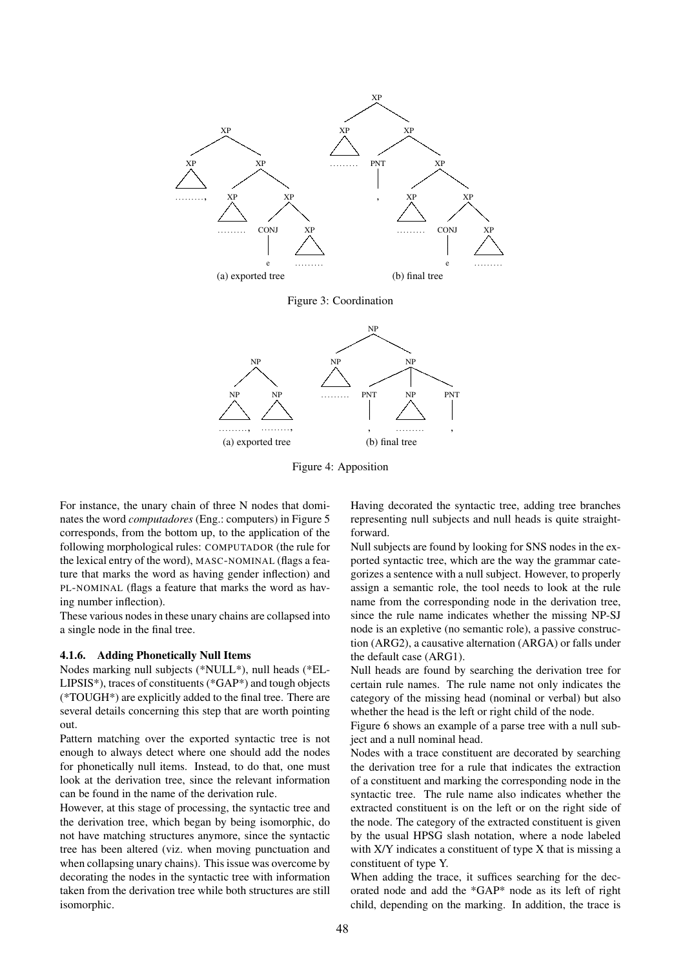

(a) exported tree

Figure 4: Apposition

(b) final tree

For instance, the unary chain of three N nodes that dominates the word *computadores* (Eng.: computers) in Figure 5 corresponds, from the bottom up, to the application of the following morphological rules: COMPUTADOR (the rule for the lexical entry of the word), MASC-NOMINAL (flags a feature that marks the word as having gender inflection) and PL-NOMINAL (flags a feature that marks the word as having number inflection).

These various nodes in these unary chains are collapsed into a single node in the final tree.

#### 4.1.6. Adding Phonetically Null Items

Nodes marking null subjects (\*NULL\*), null heads (\*EL-LIPSIS\*), traces of constituents (\*GAP\*) and tough objects (\*TOUGH\*) are explicitly added to the final tree. There are several details concerning this step that are worth pointing out.

Pattern matching over the exported syntactic tree is not enough to always detect where one should add the nodes for phonetically null items. Instead, to do that, one must look at the derivation tree, since the relevant information can be found in the name of the derivation rule.

However, at this stage of processing, the syntactic tree and the derivation tree, which began by being isomorphic, do not have matching structures anymore, since the syntactic tree has been altered (viz. when moving punctuation and when collapsing unary chains). This issue was overcome by decorating the nodes in the syntactic tree with information taken from the derivation tree while both structures are still isomorphic.

Having decorated the syntactic tree, adding tree branches representing null subjects and null heads is quite straightforward.

Null subjects are found by looking for SNS nodes in the exported syntactic tree, which are the way the grammar categorizes a sentence with a null subject. However, to properly assign a semantic role, the tool needs to look at the rule name from the corresponding node in the derivation tree, since the rule name indicates whether the missing NP-SJ node is an expletive (no semantic role), a passive construction (ARG2), a causative alternation (ARGA) or falls under the default case (ARG1).

Null heads are found by searching the derivation tree for certain rule names. The rule name not only indicates the category of the missing head (nominal or verbal) but also whether the head is the left or right child of the node.

Figure 6 shows an example of a parse tree with a null subject and a null nominal head.

Nodes with a trace constituent are decorated by searching the derivation tree for a rule that indicates the extraction of a constituent and marking the corresponding node in the syntactic tree. The rule name also indicates whether the extracted constituent is on the left or on the right side of the node. The category of the extracted constituent is given by the usual HPSG slash notation, where a node labeled with X/Y indicates a constituent of type X that is missing a constituent of type Y.

When adding the trace, it suffices searching for the decorated node and add the \*GAP\* node as its left of right child, depending on the marking. In addition, the trace is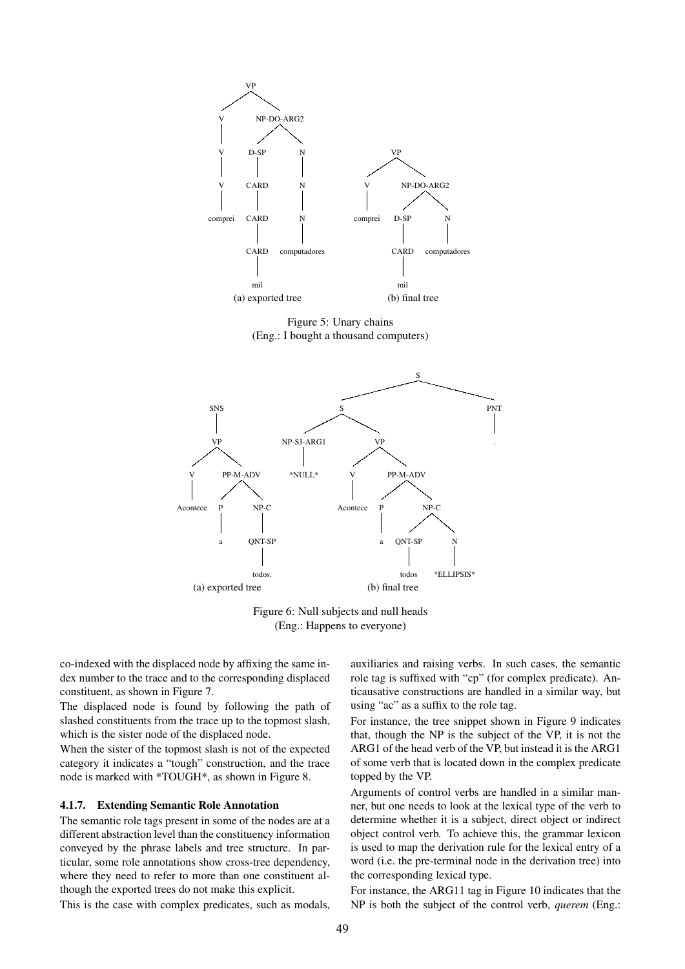

Figure 5: Unary chains (Eng.: I bought a thousand computers)



Figure 6: Null subjects and null heads (Eng.: Happens to everyone)

co-indexed with the displaced node by affixing the same index number to the trace and to the corresponding displaced constituent, as shown in Figure 7.

The displaced node is found by following the path of slashed constituents from the trace up to the topmost slash, which is the sister node of the displaced node.

When the sister of the topmost slash is not of the expected category it indicates a "tough" construction, and the trace node is marked with \*TOUGH\*, as shown in Figure 8.

#### 4.1.7. Extending Semantic Role Annotation

The semantic role tags present in some of the nodes are at a different abstraction level than the constituency information conveyed by the phrase labels and tree structure. In particular, some role annotations show cross-tree dependency, where they need to refer to more than one constituent although the exported trees do not make this explicit.

This is the case with complex predicates, such as modals,

auxiliaries and raising verbs. In such cases, the semantic role tag is suffixed with "cp" (for complex predicate). Anticausative constructions are handled in a similar way, but using "ac" as a suffix to the role tag.

For instance, the tree snippet shown in Figure 9 indicates that, though the NP is the subject of the VP, it is not the ARG1 of the head verb of the VP, but instead it is the ARG1 of some verb that is located down in the complex predicate topped by the VP.

Arguments of control verbs are handled in a similar manner, but one needs to look at the lexical type of the verb to determine whether it is a subject, direct object or indirect object control verb. To achieve this, the grammar lexicon is used to map the derivation rule for the lexical entry of a word (i.e. the pre-terminal node in the derivation tree) into the corresponding lexical type.

For instance, the ARG11 tag in Figure 10 indicates that the NP is both the subject of the control verb, *querem* (Eng.: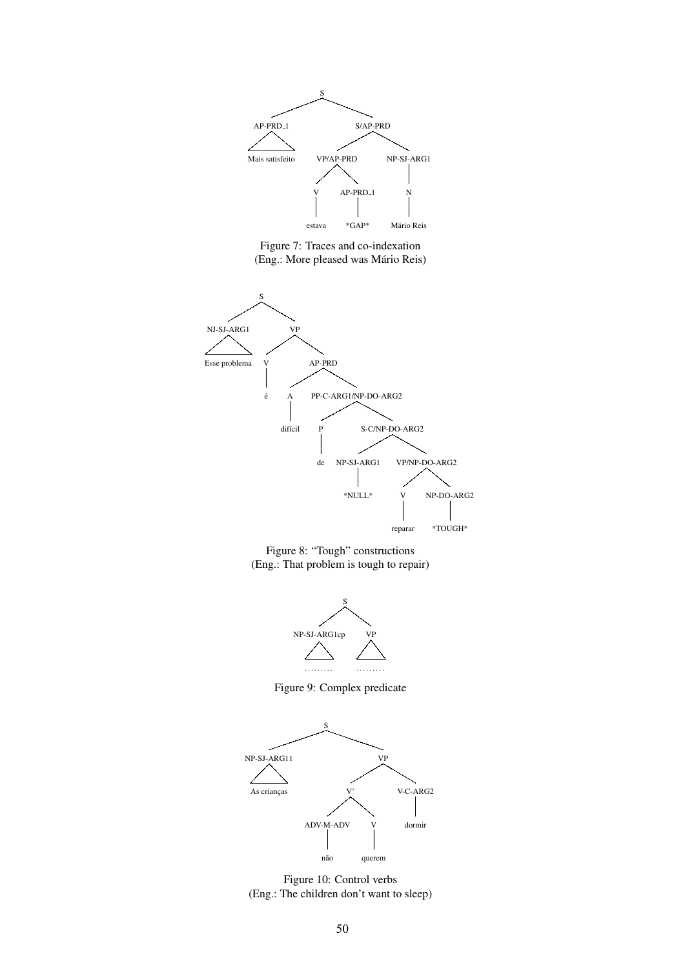

Figure 7: Traces and co-indexation (Eng.: More pleased was Mário Reis)



Figure 8: "Tough" constructions (Eng.: That problem is tough to repair)



Figure 9: Complex predicate



Figure 10: Control verbs (Eng.: The children don't want to sleep)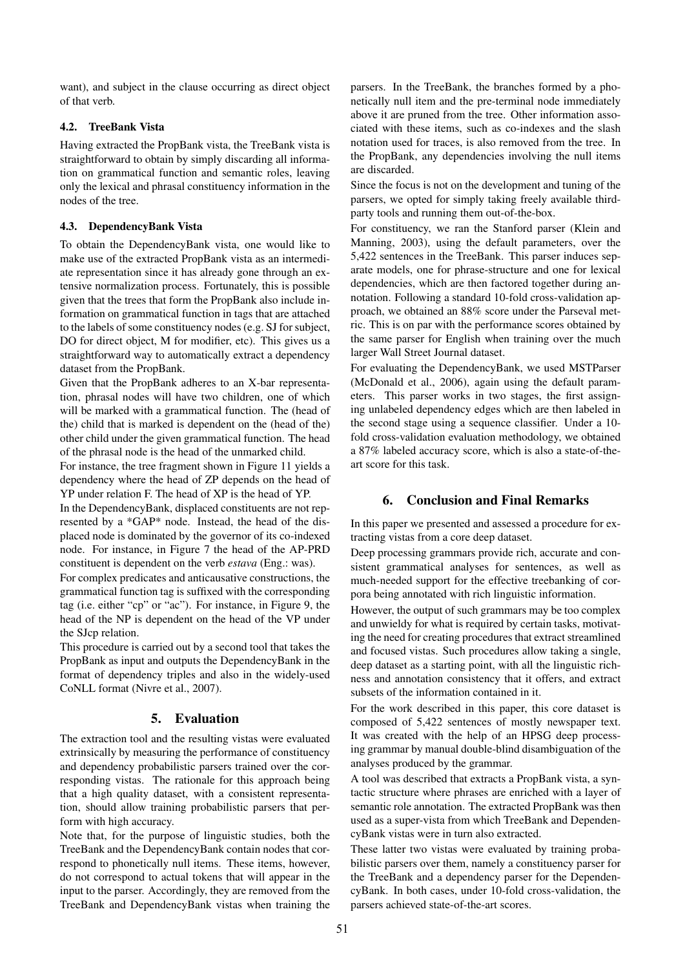want), and subject in the clause occurring as direct object of that verb.

## 4.2. TreeBank Vista

Having extracted the PropBank vista, the TreeBank vista is straightforward to obtain by simply discarding all information on grammatical function and semantic roles, leaving only the lexical and phrasal constituency information in the nodes of the tree.

#### 4.3. DependencyBank Vista

To obtain the DependencyBank vista, one would like to make use of the extracted PropBank vista as an intermediate representation since it has already gone through an extensive normalization process. Fortunately, this is possible given that the trees that form the PropBank also include information on grammatical function in tags that are attached to the labels of some constituency nodes (e.g. SJ for subject, DO for direct object, M for modifier, etc). This gives us a straightforward way to automatically extract a dependency dataset from the PropBank.

Given that the PropBank adheres to an X-bar representation, phrasal nodes will have two children, one of which will be marked with a grammatical function. The (head of the) child that is marked is dependent on the (head of the) other child under the given grammatical function. The head of the phrasal node is the head of the unmarked child.

For instance, the tree fragment shown in Figure 11 yields a dependency where the head of ZP depends on the head of YP under relation F. The head of XP is the head of YP.

In the DependencyBank, displaced constituents are not represented by a \*GAP\* node. Instead, the head of the displaced node is dominated by the governor of its co-indexed node. For instance, in Figure 7 the head of the AP-PRD constituent is dependent on the verb *estava* (Eng.: was).

For complex predicates and anticausative constructions, the grammatical function tag is suffixed with the corresponding tag (i.e. either "cp" or "ac"). For instance, in Figure 9, the head of the NP is dependent on the head of the VP under the SJcp relation.

This procedure is carried out by a second tool that takes the PropBank as input and outputs the DependencyBank in the format of dependency triples and also in the widely-used CoNLL format (Nivre et al., 2007).

## 5. Evaluation

The extraction tool and the resulting vistas were evaluated extrinsically by measuring the performance of constituency and dependency probabilistic parsers trained over the corresponding vistas. The rationale for this approach being that a high quality dataset, with a consistent representation, should allow training probabilistic parsers that perform with high accuracy.

Note that, for the purpose of linguistic studies, both the TreeBank and the DependencyBank contain nodes that correspond to phonetically null items. These items, however, do not correspond to actual tokens that will appear in the input to the parser. Accordingly, they are removed from the TreeBank and DependencyBank vistas when training the parsers. In the TreeBank, the branches formed by a phonetically null item and the pre-terminal node immediately above it are pruned from the tree. Other information associated with these items, such as co-indexes and the slash notation used for traces, is also removed from the tree. In the PropBank, any dependencies involving the null items are discarded.

Since the focus is not on the development and tuning of the parsers, we opted for simply taking freely available thirdparty tools and running them out-of-the-box.

For constituency, we ran the Stanford parser (Klein and Manning, 2003), using the default parameters, over the 5,422 sentences in the TreeBank. This parser induces separate models, one for phrase-structure and one for lexical dependencies, which are then factored together during annotation. Following a standard 10-fold cross-validation approach, we obtained an 88% score under the Parseval metric. This is on par with the performance scores obtained by the same parser for English when training over the much larger Wall Street Journal dataset.

For evaluating the DependencyBank, we used MSTParser (McDonald et al., 2006), again using the default parameters. This parser works in two stages, the first assigning unlabeled dependency edges which are then labeled in the second stage using a sequence classifier. Under a 10 fold cross-validation evaluation methodology, we obtained a 87% labeled accuracy score, which is also a state-of-theart score for this task.

# 6. Conclusion and Final Remarks

In this paper we presented and assessed a procedure for extracting vistas from a core deep dataset.

Deep processing grammars provide rich, accurate and consistent grammatical analyses for sentences, as well as much-needed support for the effective treebanking of corpora being annotated with rich linguistic information.

However, the output of such grammars may be too complex and unwieldy for what is required by certain tasks, motivating the need for creating procedures that extract streamlined and focused vistas. Such procedures allow taking a single, deep dataset as a starting point, with all the linguistic richness and annotation consistency that it offers, and extract subsets of the information contained in it.

For the work described in this paper, this core dataset is composed of 5,422 sentences of mostly newspaper text. It was created with the help of an HPSG deep processing grammar by manual double-blind disambiguation of the analyses produced by the grammar.

A tool was described that extracts a PropBank vista, a syntactic structure where phrases are enriched with a layer of semantic role annotation. The extracted PropBank was then used as a super-vista from which TreeBank and DependencyBank vistas were in turn also extracted.

These latter two vistas were evaluated by training probabilistic parsers over them, namely a constituency parser for the TreeBank and a dependency parser for the DependencyBank. In both cases, under 10-fold cross-validation, the parsers achieved state-of-the-art scores.